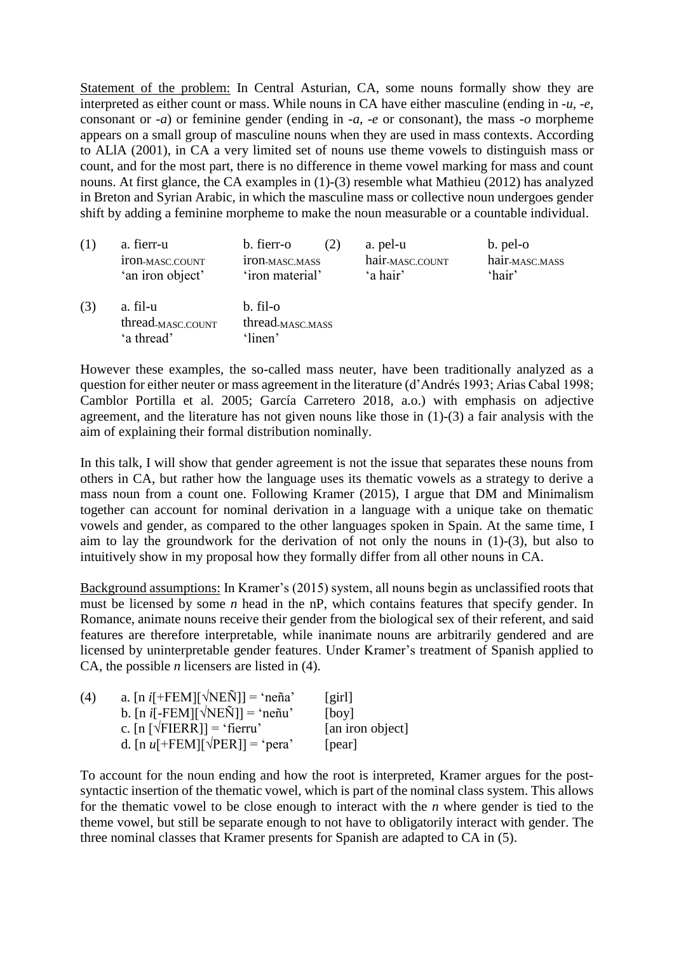Statement of the problem: In Central Asturian, CA, some nouns formally show they are interpreted as either count or mass. While nouns in CA have either masculine (ending in *-u*, *-e*, consonant or *-a*) or feminine gender (ending in *-a*, *-e* or consonant), the mass *-o* morpheme appears on a small group of masculine nouns when they are used in mass contexts. According to ALlA (2001), in CA a very limited set of nouns use theme vowels to distinguish mass or count, and for the most part, there is no difference in theme vowel marking for mass and count nouns. At first glance, the CA examples in [\(1\)](#page-0-0)[-\(3\)](#page-0-1) resemble what Mathieu (2012) has analyzed in Breton and Syrian Arabic, in which the masculine mass or collective noun undergoes gender shift by adding a feminine morpheme to make the noun measurable or a countable individual.

<span id="page-0-0"></span>

|     | a. fierr-u                                              | b. fierr-o                                          | a. pel-u                    | b. pel-o                   |
|-----|---------------------------------------------------------|-----------------------------------------------------|-----------------------------|----------------------------|
|     | 1TON-MASC.COUNT                                         | <b>ITON-MASC.MASS</b>                               | hair <sub>-MASC.COUNT</sub> | hair <sub>-MASC.MASS</sub> |
|     | 'an iron object'                                        | 'iron material'                                     | 'a hair'                    | 'hair'                     |
| (3) | a. fil-u<br>thread <sub>-MASC.COUNT</sub><br>'a thread' | b. fil-o<br>thread- <sub>MASC</sub> MASS<br>'linen' |                             |                            |

<span id="page-0-1"></span>However these examples, the so-called mass neuter, have been traditionally analyzed as a question for either neuter or mass agreement in the literature (d'Andrés 1993; Arias Cabal 1998; Camblor Portilla et al. 2005; García Carretero 2018, a.o.) with emphasis on adjective agreement, and the literature has not given nouns like those in [\(1\)](#page-0-0)[-\(3\)](#page-0-1) a fair analysis with the aim of explaining their formal distribution nominally.

In this talk, I will show that gender agreement is not the issue that separates these nouns from others in CA, but rather how the language uses its thematic vowels as a strategy to derive a mass noun from a count one. Following Kramer (2015), I argue that DM and Minimalism together can account for nominal derivation in a language with a unique take on thematic vowels and gender, as compared to the other languages spoken in Spain. At the same time, I aim to lay the groundwork for the derivation of not only the nouns in [\(1\)](#page-0-0)[-\(3\)](#page-0-1), but also to intuitively show in my proposal how they formally differ from all other nouns in CA.

Background assumptions: In Kramer's (2015) system, all nouns begin as unclassified roots that must be licensed by some *n* head in the nP, which contains features that specify gender. In Romance, animate nouns receive their gender from the biological sex of their referent, and said features are therefore interpretable, while inanimate nouns are arbitrarily gendered and are licensed by uninterpretable gender features. Under Kramer's treatment of Spanish applied to CA, the possible *n* licensers are listed in [\(4\)](#page-0-2).

<span id="page-0-3"></span><span id="page-0-2"></span>

| (4) | a. [n i[+FEM][ $\sqrt{NEN}$ ]] = 'neña'                        | $\left[\right]$  |
|-----|----------------------------------------------------------------|------------------|
|     | b. [n i[-FEM][ $\sqrt{NEN}$ ]] = 'neñu'                        | [boy]            |
|     | c. $[n \lfloor \sqrt{\text{FIERR}} \rfloor] = \text{`fierru'}$ | [an iron object] |
|     | d. [n u[+FEM][ $\sqrt{PER}$ ]] = 'pera'                        | [pear]           |

To account for the noun ending and how the root is interpreted, Kramer argues for the postsyntactic insertion of the thematic vowel, which is part of the nominal class system. This allows for the thematic vowel to be close enough to interact with the *n* where gender is tied to the theme vowel, but still be separate enough to not have to obligatorily interact with gender. The three nominal classes that Kramer presents for Spanish are adapted to CA in [\(5\)](#page-1-0).